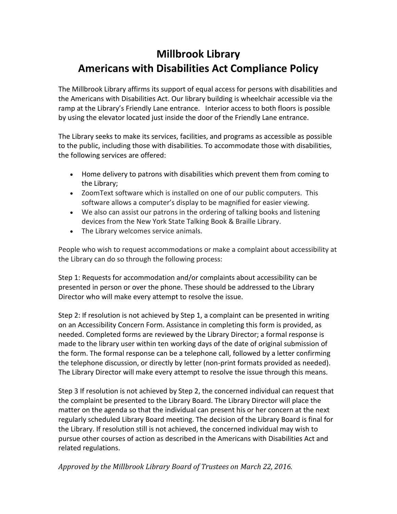## **Millbrook Library Americans with Disabilities Act Compliance Policy**

The Millbrook Library affirms its support of equal access for persons with disabilities and the Americans with Disabilities Act. Our library building is wheelchair accessible via the ramp at the Library's Friendly Lane entrance. Interior access to both floors is possible by using the elevator located just inside the door of the Friendly Lane entrance.

The Library seeks to make its services, facilities, and programs as accessible as possible to the public, including those with disabilities. To accommodate those with disabilities, the following services are offered:

- Home delivery to patrons with disabilities which prevent them from coming to the Library;
- ZoomText software which is installed on one of our public computers. This software allows a computer's display to be magnified for easier viewing.
- We also can assist our patrons in the ordering of talking books and listening devices from the New York State Talking Book & Braille Library.
- The Library welcomes service animals.

People who wish to request accommodations or make a complaint about accessibility at the Library can do so through the following process:

Step 1: Requests for accommodation and/or complaints about accessibility can be presented in person or over the phone. These should be addressed to the Library Director who will make every attempt to resolve the issue.

Step 2: If resolution is not achieved by Step 1, a complaint can be presented in writing on an Accessibility Concern Form. Assistance in completing this form is provided, as needed. Completed forms are reviewed by the Library Director; a formal response is made to the library user within ten working days of the date of original submission of the form. The formal response can be a telephone call, followed by a letter confirming the telephone discussion, or directly by letter (non-print formats provided as needed). The Library Director will make every attempt to resolve the issue through this means.

Step 3 If resolution is not achieved by Step 2, the concerned individual can request that the complaint be presented to the Library Board. The Library Director will place the matter on the agenda so that the individual can present his or her concern at the next regularly scheduled Library Board meeting. The decision of the Library Board is final for the Library. If resolution still is not achieved, the concerned individual may wish to pursue other courses of action as described in the Americans with Disabilities Act and related regulations.

*Approved by the Millbrook Library Board of Trustees on March 22, 2016.*